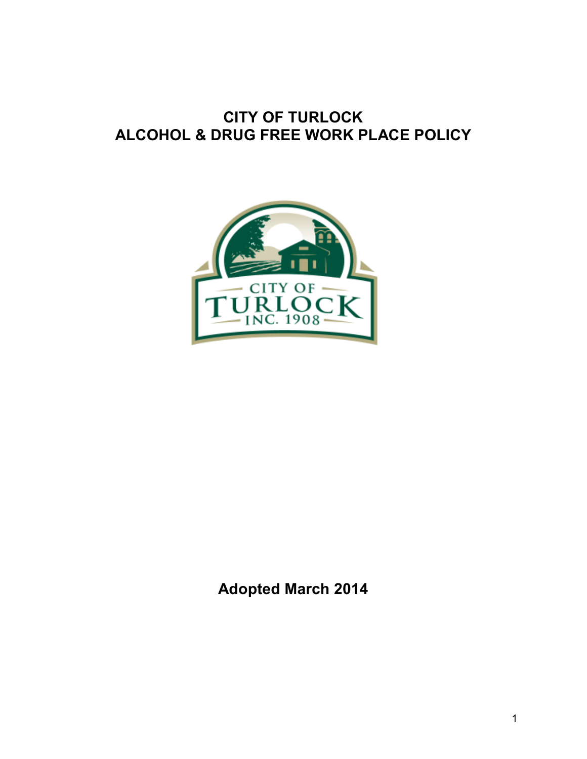# **CITY OF TURLOCK ALCOHOL & DRUG FREE WORK PLACE POLICY**



**Adopted March 2014**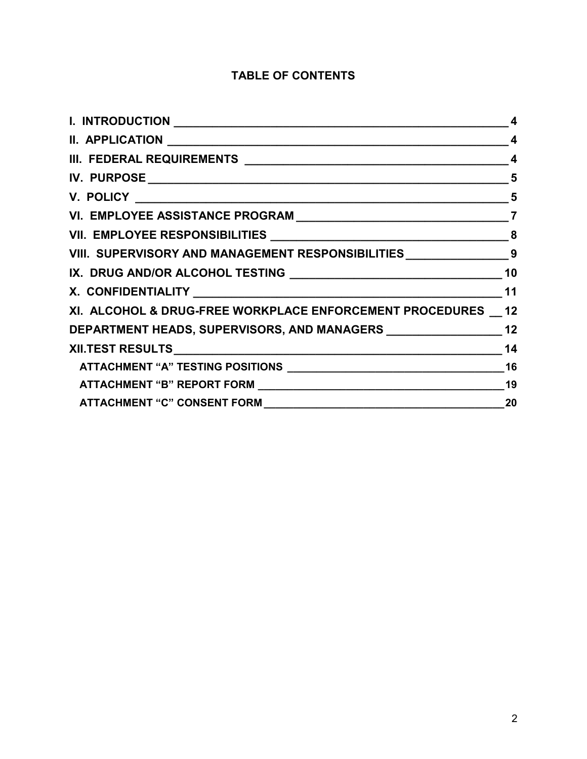## **TABLE OF CONTENTS**

|                                                                         | $\boldsymbol{4}$ |
|-------------------------------------------------------------------------|------------------|
|                                                                         | 4                |
|                                                                         | 5                |
|                                                                         |                  |
|                                                                         |                  |
|                                                                         |                  |
| VIII. SUPERVISORY AND MANAGEMENT RESPONSIBILITIES ____________________9 |                  |
|                                                                         |                  |
|                                                                         |                  |
| XI. ALCOHOL & DRUG-FREE WORKPLACE ENFORCEMENT PROCEDURES __ 12          |                  |
|                                                                         |                  |
|                                                                         | 14               |
|                                                                         | 16               |
|                                                                         |                  |
|                                                                         | 20               |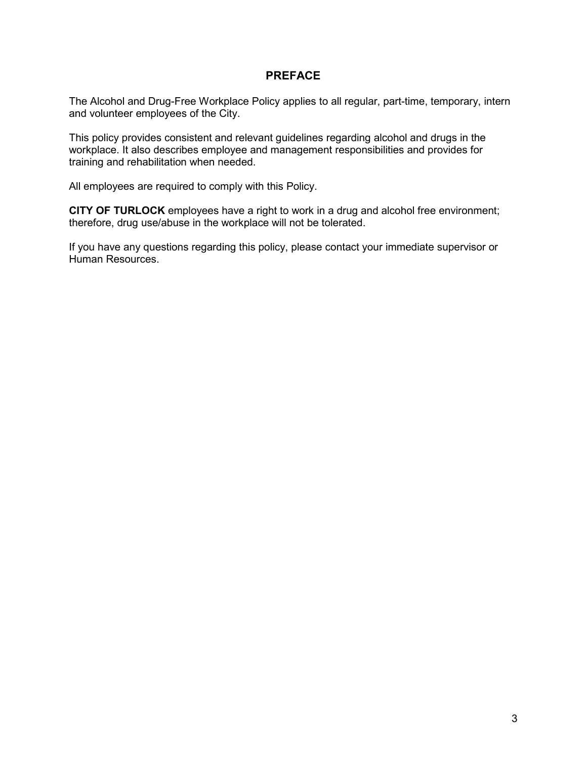### **PREFACE**

The Alcohol and Drug-Free Workplace Policy applies to all regular, part-time, temporary, intern and volunteer employees of the City.

This policy provides consistent and relevant guidelines regarding alcohol and drugs in the workplace. It also describes employee and management responsibilities and provides for training and rehabilitation when needed.

All employees are required to comply with this Policy.

**CITY OF TURLOCK** employees have a right to work in a drug and alcohol free environment; therefore, drug use/abuse in the workplace will not be tolerated.

If you have any questions regarding this policy, please contact your immediate supervisor or Human Resources.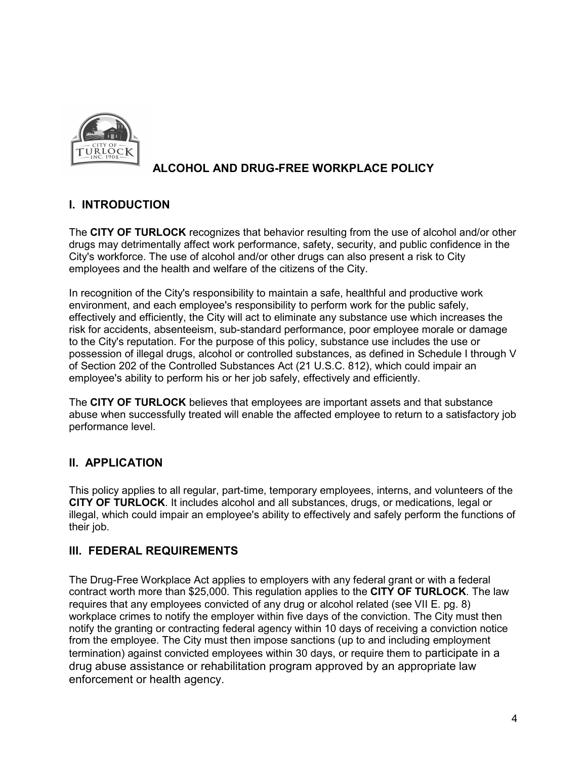

# **ALCOHOL AND DRUG-FREE WORKPLACE POLICY**

## **I. INTRODUCTION**

The **CITY OF TURLOCK** recognizes that behavior resulting from the use of alcohol and/or other drugs may detrimentally affect work performance, safety, security, and public confidence in the City's workforce. The use of alcohol and/or other drugs can also present a risk to City employees and the health and welfare of the citizens of the City.

In recognition of the City's responsibility to maintain a safe, healthful and productive work environment, and each employee's responsibility to perform work for the public safely, effectively and efficiently, the City will act to eliminate any substance use which increases the risk for accidents, absenteeism, sub-standard performance, poor employee morale or damage to the City's reputation. For the purpose of this policy, substance use includes the use or possession of illegal drugs, alcohol or controlled substances, as defined in Schedule I through V of Section 202 of the Controlled Substances Act (21 U.S.C. 812), which could impair an employee's ability to perform his or her job safely, effectively and efficiently.

The **CITY OF TURLOCK** believes that employees are important assets and that substance abuse when successfully treated will enable the affected employee to return to a satisfactory job performance level.

## **II. APPLICATION**

This policy applies to all regular, part-time, temporary employees, interns, and volunteers of the **CITY OF TURLOCK**. It includes alcohol and all substances, drugs, or medications, legal or illegal, which could impair an employee's ability to effectively and safely perform the functions of their job.

## **III. FEDERAL REQUIREMENTS**

The Drug-Free Workplace Act applies to employers with any federal grant or with a federal contract worth more than \$25,000. This regulation applies to the **CITY OF TURLOCK**. The law requires that any employees convicted of any drug or alcohol related (see VII E. pg. 8) workplace crimes to notify the employer within five days of the conviction. The City must then notify the granting or contracting federal agency within 10 days of receiving a conviction notice from the employee. The City must then impose sanctions (up to and including employment termination) against convicted employees within 30 days, or require them to participate in a drug abuse assistance or rehabilitation program approved by an appropriate law enforcement or health agency.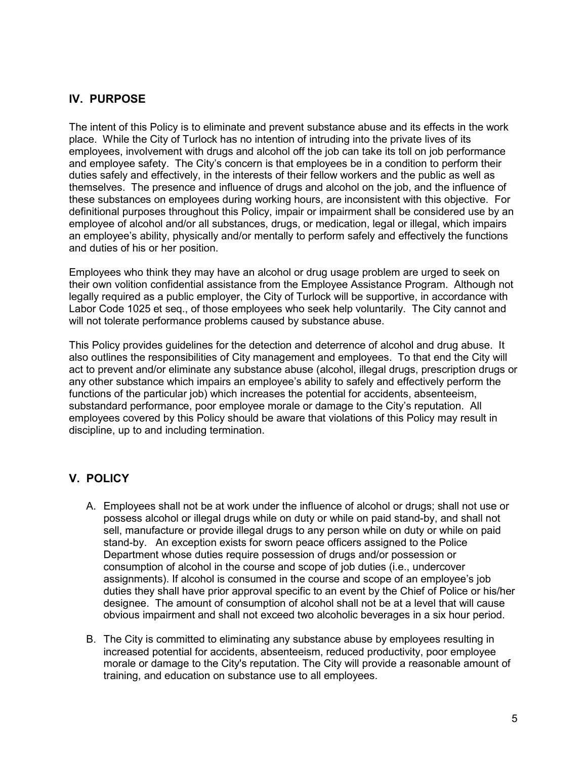## **IV. PURPOSE**

The intent of this Policy is to eliminate and prevent substance abuse and its effects in the work place. While the City of Turlock has no intention of intruding into the private lives of its employees, involvement with drugs and alcohol off the job can take its toll on job performance and employee safety. The City's concern is that employees be in a condition to perform their duties safely and effectively, in the interests of their fellow workers and the public as well as themselves. The presence and influence of drugs and alcohol on the job, and the influence of these substances on employees during working hours, are inconsistent with this objective. For definitional purposes throughout this Policy, impair or impairment shall be considered use by an employee of alcohol and/or all substances, drugs, or medication, legal or illegal, which impairs an employee's ability, physically and/or mentally to perform safely and effectively the functions and duties of his or her position.

Employees who think they may have an alcohol or drug usage problem are urged to seek on their own volition confidential assistance from the Employee Assistance Program. Although not legally required as a public employer, the City of Turlock will be supportive, in accordance with Labor Code 1025 et seq., of those employees who seek help voluntarily. The City cannot and will not tolerate performance problems caused by substance abuse.

This Policy provides guidelines for the detection and deterrence of alcohol and drug abuse. It also outlines the responsibilities of City management and employees. To that end the City will act to prevent and/or eliminate any substance abuse (alcohol, illegal drugs, prescription drugs or any other substance which impairs an employee's ability to safely and effectively perform the functions of the particular job) which increases the potential for accidents, absenteeism, substandard performance, poor employee morale or damage to the City's reputation. All employees covered by this Policy should be aware that violations of this Policy may result in discipline, up to and including termination.

## **V. POLICY**

- A. Employees shall not be at work under the influence of alcohol or drugs; shall not use or possess alcohol or illegal drugs while on duty or while on paid stand-by, and shall not sell, manufacture or provide illegal drugs to any person while on duty or while on paid stand-by. An exception exists for sworn peace officers assigned to the Police Department whose duties require possession of drugs and/or possession or consumption of alcohol in the course and scope of job duties (i.e., undercover assignments). If alcohol is consumed in the course and scope of an employee's job duties they shall have prior approval specific to an event by the Chief of Police or his/her designee. The amount of consumption of alcohol shall not be at a level that will cause obvious impairment and shall not exceed two alcoholic beverages in a six hour period.
- B. The City is committed to eliminating any substance abuse by employees resulting in increased potential for accidents, absenteeism, reduced productivity, poor employee morale or damage to the City's reputation. The City will provide a reasonable amount of training, and education on substance use to all employees.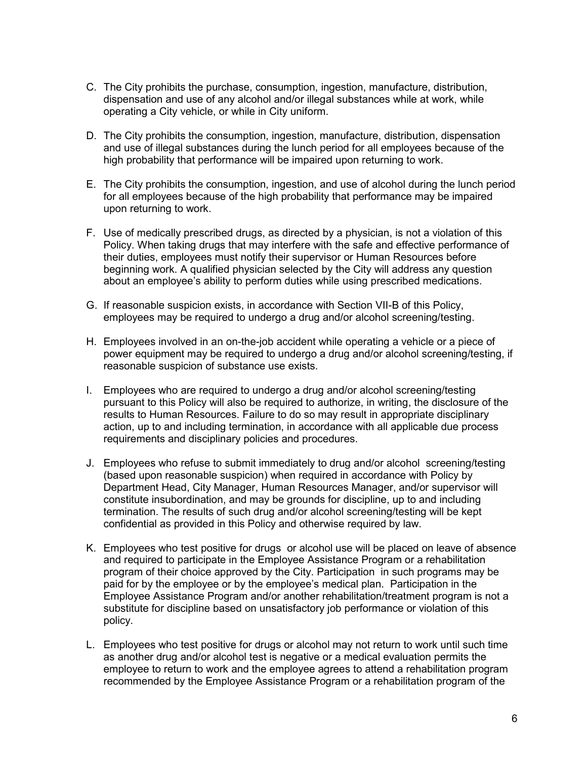- C. The City prohibits the purchase, consumption, ingestion, manufacture, distribution, dispensation and use of any alcohol and/or illegal substances while at work, while operating a City vehicle, or while in City uniform.
- D. The City prohibits the consumption, ingestion, manufacture, distribution, dispensation and use of illegal substances during the lunch period for all employees because of the high probability that performance will be impaired upon returning to work.
- E. The City prohibits the consumption, ingestion, and use of alcohol during the lunch period for all employees because of the high probability that performance may be impaired upon returning to work.
- F. Use of medically prescribed drugs, as directed by a physician, is not a violation of this Policy. When taking drugs that may interfere with the safe and effective performance of their duties, employees must notify their supervisor or Human Resources before beginning work. A qualified physician selected by the City will address any question about an employee's ability to perform duties while using prescribed medications.
- G. If reasonable suspicion exists, in accordance with Section VII-B of this Policy, employees may be required to undergo a drug and/or alcohol screening/testing.
- H. Employees involved in an on-the-job accident while operating a vehicle or a piece of power equipment may be required to undergo a drug and/or alcohol screening/testing, if reasonable suspicion of substance use exists.
- I. Employees who are required to undergo a drug and/or alcohol screening/testing pursuant to this Policy will also be required to authorize, in writing, the disclosure of the results to Human Resources. Failure to do so may result in appropriate disciplinary action, up to and including termination, in accordance with all applicable due process requirements and disciplinary policies and procedures.
- J. Employees who refuse to submit immediately to drug and/or alcohol screening/testing (based upon reasonable suspicion) when required in accordance with Policy by Department Head, City Manager, Human Resources Manager, and/or supervisor will constitute insubordination, and may be grounds for discipline, up to and including termination. The results of such drug and/or alcohol screening/testing will be kept confidential as provided in this Policy and otherwise required by law.
- K. Employees who test positive for drugs or alcohol use will be placed on leave of absence and required to participate in the Employee Assistance Program or a rehabilitation program of their choice approved by the City. Participation in such programs may be paid for by the employee or by the employee's medical plan. Participation in the Employee Assistance Program and/or another rehabilitation/treatment program is not a substitute for discipline based on unsatisfactory job performance or violation of this policy.
- L. Employees who test positive for drugs or alcohol may not return to work until such time as another drug and/or alcohol test is negative or a medical evaluation permits the employee to return to work and the employee agrees to attend a rehabilitation program recommended by the Employee Assistance Program or a rehabilitation program of the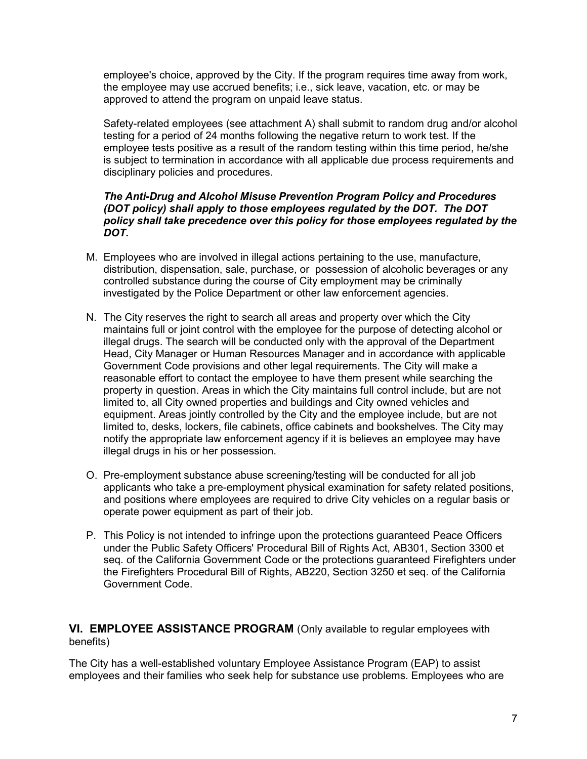employee's choice, approved by the City. If the program requires time away from work, the employee may use accrued benefits; i.e., sick leave, vacation, etc. or may be approved to attend the program on unpaid leave status.

Safety-related employees (see attachment A) shall submit to random drug and/or alcohol testing for a period of 24 months following the negative return to work test. If the employee tests positive as a result of the random testing within this time period, he/she is subject to termination in accordance with all applicable due process requirements and disciplinary policies and procedures.

### *The Anti-Drug and Alcohol Misuse Prevention Program Policy and Procedures (DOT policy) shall apply to those employees regulated by the DOT. The DOT policy shall take precedence over this policy for those employees regulated by the DOT.*

- M. Employees who are involved in illegal actions pertaining to the use, manufacture, distribution, dispensation, sale, purchase, or possession of alcoholic beverages or any controlled substance during the course of City employment may be criminally investigated by the Police Department or other law enforcement agencies.
- N. The City reserves the right to search all areas and property over which the City maintains full or joint control with the employee for the purpose of detecting alcohol or illegal drugs. The search will be conducted only with the approval of the Department Head, City Manager or Human Resources Manager and in accordance with applicable Government Code provisions and other legal requirements. The City will make a reasonable effort to contact the employee to have them present while searching the property in question. Areas in which the City maintains full control include, but are not limited to, all City owned properties and buildings and City owned vehicles and equipment. Areas jointly controlled by the City and the employee include, but are not limited to, desks, lockers, file cabinets, office cabinets and bookshelves. The City may notify the appropriate law enforcement agency if it is believes an employee may have illegal drugs in his or her possession.
- O. Pre-employment substance abuse screening/testing will be conducted for all job applicants who take a pre-employment physical examination for safety related positions, and positions where employees are required to drive City vehicles on a regular basis or operate power equipment as part of their job.
- P. This Policy is not intended to infringe upon the protections guaranteed Peace Officers under the Public Safety Officers' Procedural Bill of Rights Act, AB301, Section 3300 et seq. of the California Government Code or the protections guaranteed Firefighters under the Firefighters Procedural Bill of Rights, AB220, Section 3250 et seq. of the California Government Code.

**VI. EMPLOYEE ASSISTANCE PROGRAM** (Only available to regular employees with benefits)

The City has a well-established voluntary Employee Assistance Program (EAP) to assist employees and their families who seek help for substance use problems. Employees who are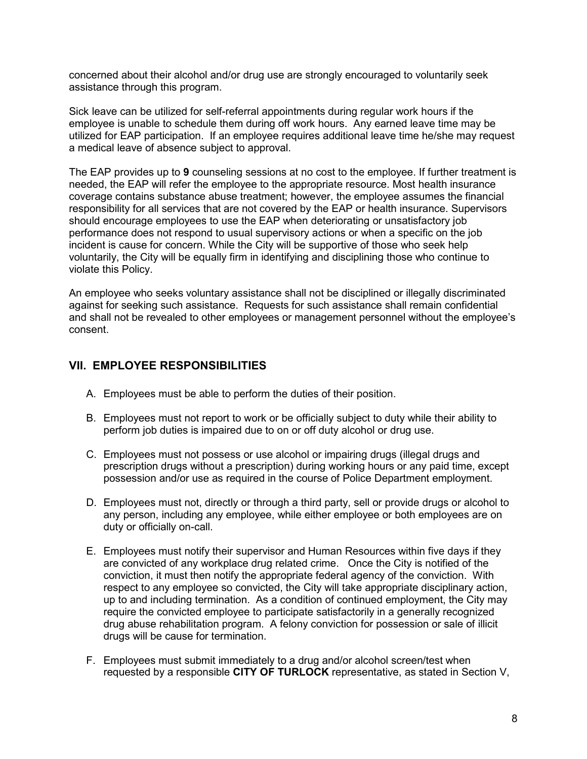concerned about their alcohol and/or drug use are strongly encouraged to voluntarily seek assistance through this program.

Sick leave can be utilized for self-referral appointments during regular work hours if the employee is unable to schedule them during off work hours. Any earned leave time may be utilized for EAP participation. If an employee requires additional leave time he/she may request a medical leave of absence subject to approval.

The EAP provides up to **9** counseling sessions at no cost to the employee. If further treatment is needed, the EAP will refer the employee to the appropriate resource. Most health insurance coverage contains substance abuse treatment; however, the employee assumes the financial responsibility for all services that are not covered by the EAP or health insurance. Supervisors should encourage employees to use the EAP when deteriorating or unsatisfactory job performance does not respond to usual supervisory actions or when a specific on the job incident is cause for concern. While the City will be supportive of those who seek help voluntarily, the City will be equally firm in identifying and disciplining those who continue to violate this Policy.

An employee who seeks voluntary assistance shall not be disciplined or illegally discriminated against for seeking such assistance. Requests for such assistance shall remain confidential and shall not be revealed to other employees or management personnel without the employee's consent.

## **VII. EMPLOYEE RESPONSIBILITIES**

- A. Employees must be able to perform the duties of their position.
- B. Employees must not report to work or be officially subject to duty while their ability to perform job duties is impaired due to on or off duty alcohol or drug use.
- C. Employees must not possess or use alcohol or impairing drugs (illegal drugs and prescription drugs without a prescription) during working hours or any paid time, except possession and/or use as required in the course of Police Department employment.
- D. Employees must not, directly or through a third party, sell or provide drugs or alcohol to any person, including any employee, while either employee or both employees are on duty or officially on-call.
- E. Employees must notify their supervisor and Human Resources within five days if they are convicted of any workplace drug related crime. Once the City is notified of the conviction, it must then notify the appropriate federal agency of the conviction. With respect to any employee so convicted, the City will take appropriate disciplinary action, up to and including termination. As a condition of continued employment, the City may require the convicted employee to participate satisfactorily in a generally recognized drug abuse rehabilitation program. A felony conviction for possession or sale of illicit drugs will be cause for termination.
- F. Employees must submit immediately to a drug and/or alcohol screen/test when requested by a responsible **CITY OF TURLOCK** representative, as stated in Section V,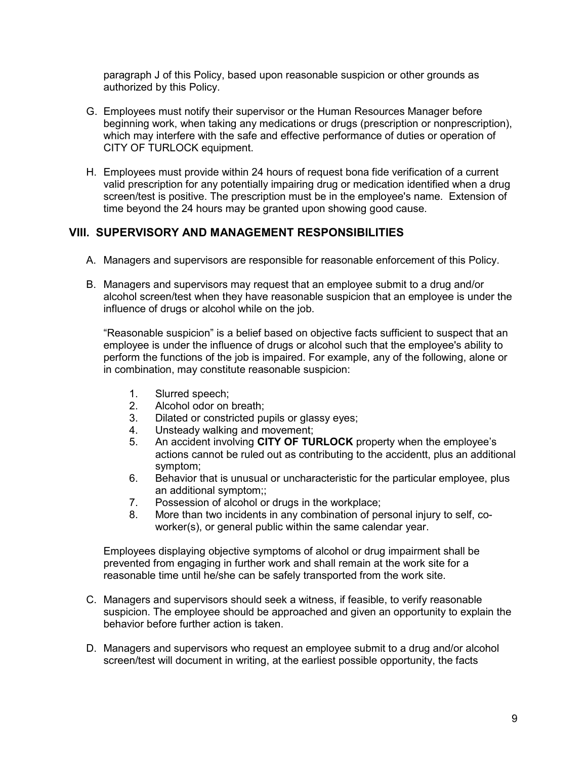paragraph J of this Policy, based upon reasonable suspicion or other grounds as authorized by this Policy.

- G. Employees must notify their supervisor or the Human Resources Manager before beginning work, when taking any medications or drugs (prescription or nonprescription), which may interfere with the safe and effective performance of duties or operation of CITY OF TURLOCK equipment.
- H. Employees must provide within 24 hours of request bona fide verification of a current valid prescription for any potentially impairing drug or medication identified when a drug screen/test is positive. The prescription must be in the employee's name. Extension of time beyond the 24 hours may be granted upon showing good cause.

### **VIII. SUPERVISORY AND MANAGEMENT RESPONSIBILITIES**

- A. Managers and supervisors are responsible for reasonable enforcement of this Policy.
- B. Managers and supervisors may request that an employee submit to a drug and/or alcohol screen/test when they have reasonable suspicion that an employee is under the influence of drugs or alcohol while on the job.

"Reasonable suspicion" is a belief based on objective facts sufficient to suspect that an employee is under the influence of drugs or alcohol such that the employee's ability to perform the functions of the job is impaired. For example, any of the following, alone or in combination, may constitute reasonable suspicion:

- 1. Slurred speech;
- 2. Alcohol odor on breath;
- 3. Dilated or constricted pupils or glassy eyes;
- 4. Unsteady walking and movement;
- 5. An accident involving **CITY OF TURLOCK** property when the employee's actions cannot be ruled out as contributing to the accidentt, plus an additional symptom;
- 6. Behavior that is unusual or uncharacteristic for the particular employee, plus an additional symptom;;
- 7. Possession of alcohol or drugs in the workplace;
- 8. More than two incidents in any combination of personal injury to self, coworker(s), or general public within the same calendar year.

Employees displaying objective symptoms of alcohol or drug impairment shall be prevented from engaging in further work and shall remain at the work site for a reasonable time until he/she can be safely transported from the work site.

- C. Managers and supervisors should seek a witness, if feasible, to verify reasonable suspicion. The employee should be approached and given an opportunity to explain the behavior before further action is taken.
- D. Managers and supervisors who request an employee submit to a drug and/or alcohol screen/test will document in writing, at the earliest possible opportunity, the facts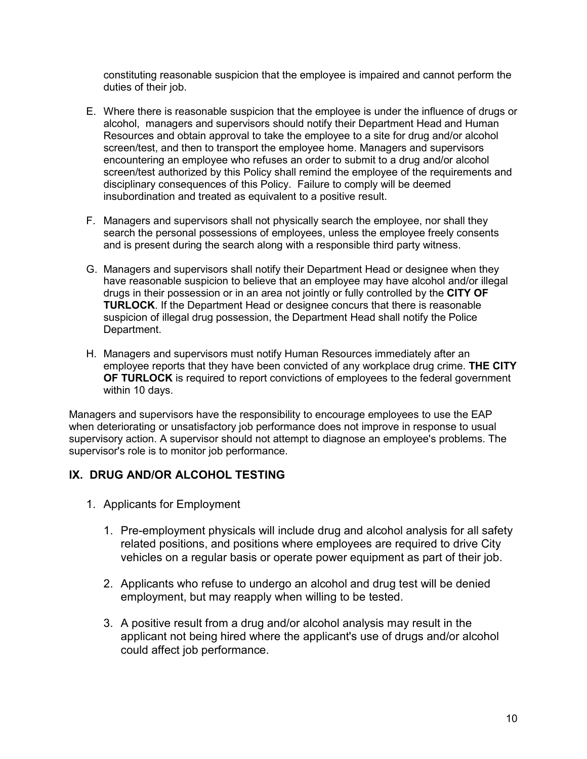constituting reasonable suspicion that the employee is impaired and cannot perform the duties of their job.

- E. Where there is reasonable suspicion that the employee is under the influence of drugs or alcohol, managers and supervisors should notify their Department Head and Human Resources and obtain approval to take the employee to a site for drug and/or alcohol screen/test, and then to transport the employee home. Managers and supervisors encountering an employee who refuses an order to submit to a drug and/or alcohol screen/test authorized by this Policy shall remind the employee of the requirements and disciplinary consequences of this Policy. Failure to comply will be deemed insubordination and treated as equivalent to a positive result.
- F. Managers and supervisors shall not physically search the employee, nor shall they search the personal possessions of employees, unless the employee freely consents and is present during the search along with a responsible third party witness.
- G. Managers and supervisors shall notify their Department Head or designee when they have reasonable suspicion to believe that an employee may have alcohol and/or illegal drugs in their possession or in an area not jointly or fully controlled by the **CITY OF TURLOCK**. If the Department Head or designee concurs that there is reasonable suspicion of illegal drug possession, the Department Head shall notify the Police Department.
- H. Managers and supervisors must notify Human Resources immediately after an employee reports that they have been convicted of any workplace drug crime. **THE CITY OF TURLOCK** is required to report convictions of employees to the federal government within 10 days.

Managers and supervisors have the responsibility to encourage employees to use the EAP when deteriorating or unsatisfactory job performance does not improve in response to usual supervisory action. A supervisor should not attempt to diagnose an employee's problems. The supervisor's role is to monitor job performance.

## **IX. DRUG AND/OR ALCOHOL TESTING**

- 1. Applicants for Employment
	- 1. Pre-employment physicals will include drug and alcohol analysis for all safety related positions, and positions where employees are required to drive City vehicles on a regular basis or operate power equipment as part of their job.
	- 2. Applicants who refuse to undergo an alcohol and drug test will be denied employment, but may reapply when willing to be tested.
	- 3. A positive result from a drug and/or alcohol analysis may result in the applicant not being hired where the applicant's use of drugs and/or alcohol could affect job performance.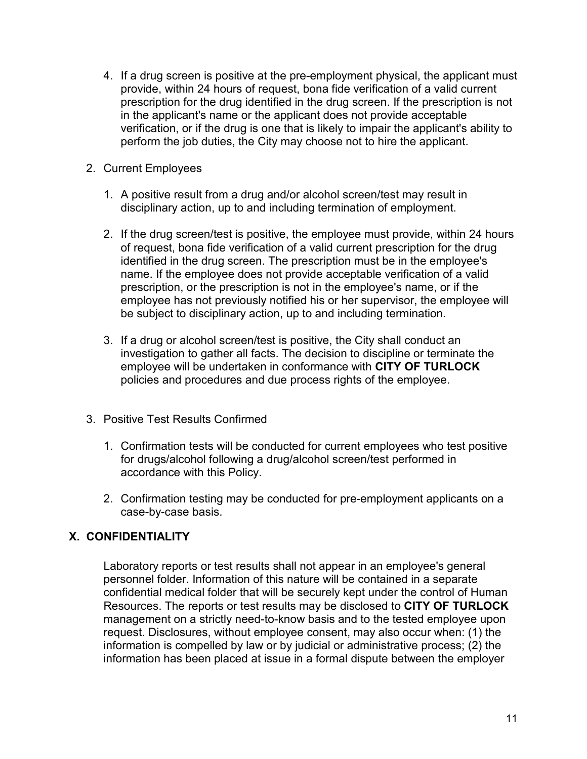- 4. If a drug screen is positive at the pre-employment physical, the applicant must provide, within 24 hours of request, bona fide verification of a valid current prescription for the drug identified in the drug screen. If the prescription is not in the applicant's name or the applicant does not provide acceptable verification, or if the drug is one that is likely to impair the applicant's ability to perform the job duties, the City may choose not to hire the applicant.
- 2. Current Employees
	- 1. A positive result from a drug and/or alcohol screen/test may result in disciplinary action, up to and including termination of employment.
	- 2. If the drug screen/test is positive, the employee must provide, within 24 hours of request, bona fide verification of a valid current prescription for the drug identified in the drug screen. The prescription must be in the employee's name. If the employee does not provide acceptable verification of a valid prescription, or the prescription is not in the employee's name, or if the employee has not previously notified his or her supervisor, the employee will be subject to disciplinary action, up to and including termination.
	- 3. If a drug or alcohol screen/test is positive, the City shall conduct an investigation to gather all facts. The decision to discipline or terminate the employee will be undertaken in conformance with **CITY OF TURLOCK** policies and procedures and due process rights of the employee.
- 3. Positive Test Results Confirmed
	- 1. Confirmation tests will be conducted for current employees who test positive for drugs/alcohol following a drug/alcohol screen/test performed in accordance with this Policy.
	- 2. Confirmation testing may be conducted for pre-employment applicants on a case-by-case basis.

## **X. CONFIDENTIALITY**

Laboratory reports or test results shall not appear in an employee's general personnel folder. Information of this nature will be contained in a separate confidential medical folder that will be securely kept under the control of Human Resources. The reports or test results may be disclosed to **CITY OF TURLOCK** management on a strictly need-to-know basis and to the tested employee upon request. Disclosures, without employee consent, may also occur when: (1) the information is compelled by law or by judicial or administrative process; (2) the information has been placed at issue in a formal dispute between the employer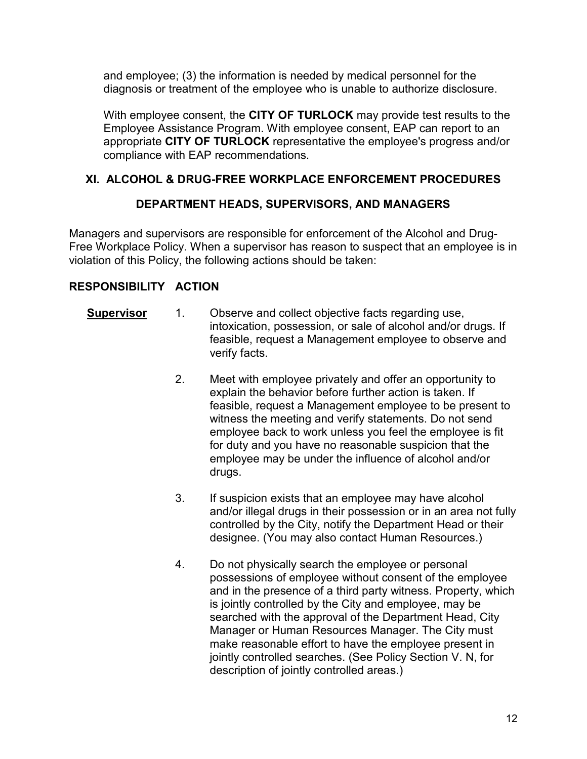and employee; (3) the information is needed by medical personnel for the diagnosis or treatment of the employee who is unable to authorize disclosure.

With employee consent, the **CITY OF TURLOCK** may provide test results to the Employee Assistance Program. With employee consent, EAP can report to an appropriate **CITY OF TURLOCK** representative the employee's progress and/or compliance with EAP recommendations.

## **XI. ALCOHOL & DRUG-FREE WORKPLACE ENFORCEMENT PROCEDURES**

## **DEPARTMENT HEADS, SUPERVISORS, AND MANAGERS**

Managers and supervisors are responsible for enforcement of the Alcohol and Drug-Free Workplace Policy. When a supervisor has reason to suspect that an employee is in violation of this Policy, the following actions should be taken:

## **RESPONSIBILITY ACTION**

- **Supervisor** 1. Observe and collect objective facts regarding use, intoxication, possession, or sale of alcohol and/or drugs. If feasible, request a Management employee to observe and verify facts.
	- 2. Meet with employee privately and offer an opportunity to explain the behavior before further action is taken. If feasible, request a Management employee to be present to witness the meeting and verify statements. Do not send employee back to work unless you feel the employee is fit for duty and you have no reasonable suspicion that the employee may be under the influence of alcohol and/or drugs.
	- 3. If suspicion exists that an employee may have alcohol and/or illegal drugs in their possession or in an area not fully controlled by the City, notify the Department Head or their designee. (You may also contact Human Resources.)
	- 4. Do not physically search the employee or personal possessions of employee without consent of the employee and in the presence of a third party witness. Property, which is jointly controlled by the City and employee, may be searched with the approval of the Department Head, City Manager or Human Resources Manager. The City must make reasonable effort to have the employee present in jointly controlled searches. (See Policy Section V. N, for description of jointly controlled areas.)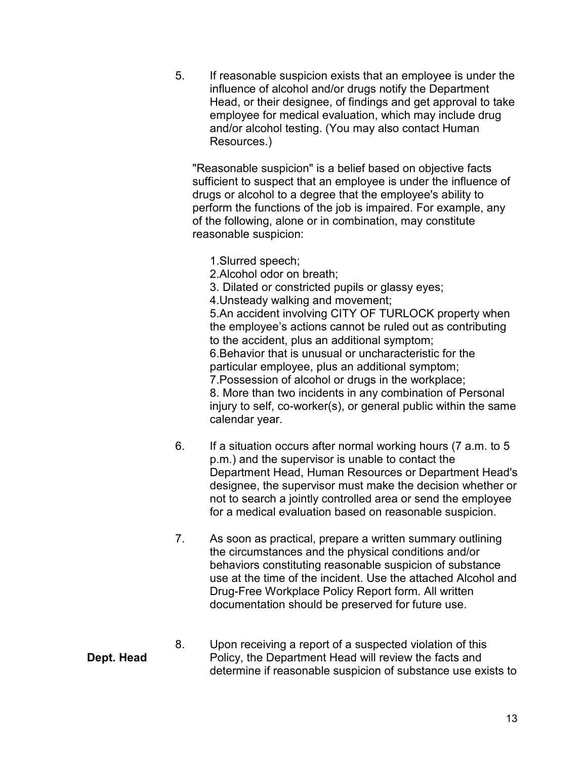5. If reasonable suspicion exists that an employee is under the influence of alcohol and/or drugs notify the Department Head, or their designee, of findings and get approval to take employee for medical evaluation, which may include drug and/or alcohol testing. (You may also contact Human Resources.)

"Reasonable suspicion" is a belief based on objective facts sufficient to suspect that an employee is under the influence of drugs or alcohol to a degree that the employee's ability to perform the functions of the job is impaired. For example, any of the following, alone or in combination, may constitute reasonable suspicion:

- 1.Slurred speech;
- 2.Alcohol odor on breath;
- 3. Dilated or constricted pupils or glassy eyes;

4.Unsteady walking and movement;

5.An accident involving CITY OF TURLOCK property when the employee's actions cannot be ruled out as contributing to the accident, plus an additional symptom; 6.Behavior that is unusual or uncharacteristic for the particular employee, plus an additional symptom; 7.Possession of alcohol or drugs in the workplace; 8. More than two incidents in any combination of Personal

injury to self, co-worker(s), or general public within the same calendar year.

- 6. If a situation occurs after normal working hours (7 a.m. to 5 p.m.) and the supervisor is unable to contact the Department Head, Human Resources or Department Head's designee, the supervisor must make the decision whether or not to search a jointly controlled area or send the employee for a medical evaluation based on reasonable suspicion.
- 7. As soon as practical, prepare a written summary outlining the circumstances and the physical conditions and/or behaviors constituting reasonable suspicion of substance use at the time of the incident. Use the attached Alcohol and Drug-Free Workplace Policy Report form. All written documentation should be preserved for future use.
- 8. Upon receiving a report of a suspected violation of this Policy, the Department Head will review the facts and determine if reasonable suspicion of substance use exists to

# **Dept. Head**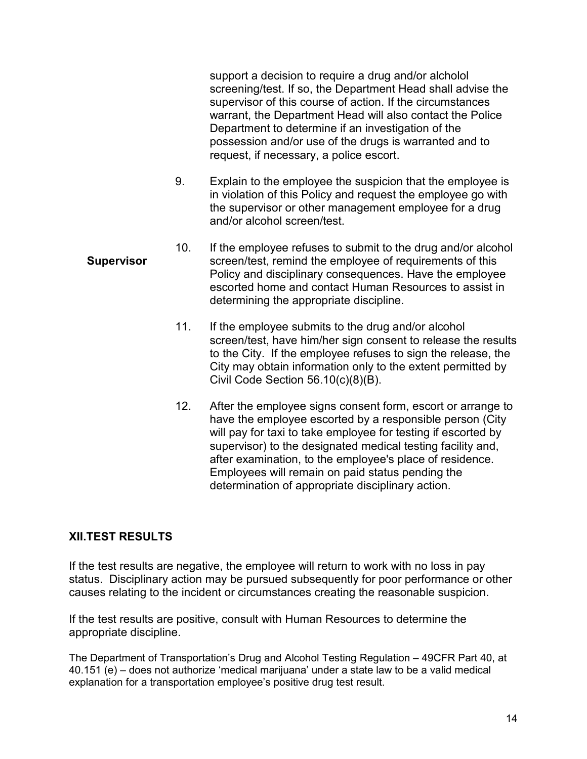support a decision to require a drug and/or alcholol screening/test. If so, the Department Head shall advise the supervisor of this course of action. If the circumstances warrant, the Department Head will also contact the Police Department to determine if an investigation of the possession and/or use of the drugs is warranted and to request, if necessary, a police escort.

- 9. Explain to the employee the suspicion that the employee is in violation of this Policy and request the employee go with the supervisor or other management employee for a drug and/or alcohol screen/test.
- **Supervisor**  10. If the employee refuses to submit to the drug and/or alcohol screen/test, remind the employee of requirements of this Policy and disciplinary consequences. Have the employee escorted home and contact Human Resources to assist in determining the appropriate discipline.
	- 11. If the employee submits to the drug and/or alcohol screen/test, have him/her sign consent to release the results to the City. If the employee refuses to sign the release, the City may obtain information only to the extent permitted by Civil Code Section 56.10(c)(8)(B).
	- 12. After the employee signs consent form, escort or arrange to have the employee escorted by a responsible person (City will pay for taxi to take employee for testing if escorted by supervisor) to the designated medical testing facility and, after examination, to the employee's place of residence. Employees will remain on paid status pending the determination of appropriate disciplinary action.

## **XII.TEST RESULTS**

If the test results are negative, the employee will return to work with no loss in pay status. Disciplinary action may be pursued subsequently for poor performance or other causes relating to the incident or circumstances creating the reasonable suspicion.

If the test results are positive, consult with Human Resources to determine the appropriate discipline.

The Department of Transportation's Drug and Alcohol Testing Regulation – 49CFR Part 40, at 40.151 (e) – does not authorize 'medical marijuana' under a state law to be a valid medical explanation for a transportation employee's positive drug test result.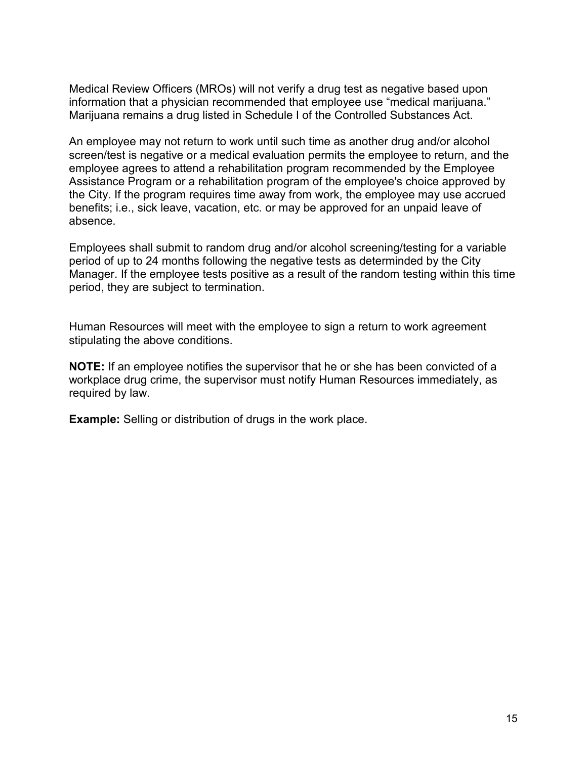Medical Review Officers (MROs) will not verify a drug test as negative based upon information that a physician recommended that employee use "medical marijuana." Marijuana remains a drug listed in Schedule I of the Controlled Substances Act.

An employee may not return to work until such time as another drug and/or alcohol screen/test is negative or a medical evaluation permits the employee to return, and the employee agrees to attend a rehabilitation program recommended by the Employee Assistance Program or a rehabilitation program of the employee's choice approved by the City. If the program requires time away from work, the employee may use accrued benefits; i.e., sick leave, vacation, etc. or may be approved for an unpaid leave of absence.

Employees shall submit to random drug and/or alcohol screening/testing for a variable period of up to 24 months following the negative tests as determinded by the City Manager. If the employee tests positive as a result of the random testing within this time period, they are subject to termination.

Human Resources will meet with the employee to sign a return to work agreement stipulating the above conditions.

**NOTE:** If an employee notifies the supervisor that he or she has been convicted of a workplace drug crime, the supervisor must notify Human Resources immediately, as required by law.

**Example:** Selling or distribution of drugs in the work place.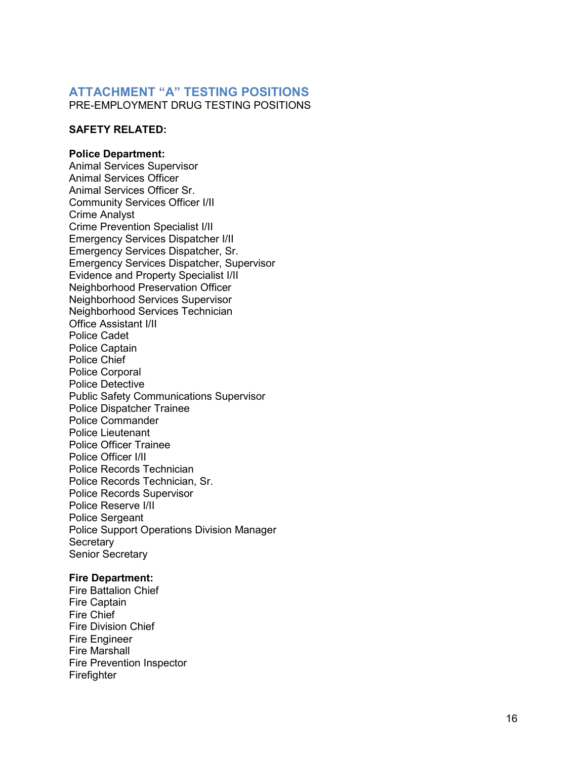### **ATTACHMENT "A" TESTING POSITIONS**

PRE-EMPLOYMENT DRUG TESTING POSITIONS

### **SAFETY RELATED:**

### **Police Department:**

Animal Services Supervisor Animal Services Officer Animal Services Officer Sr. Community Services Officer I/II Crime Analyst Crime Prevention Specialist I/II Emergency Services Dispatcher I/II Emergency Services Dispatcher, Sr. Emergency Services Dispatcher, Supervisor Evidence and Property Specialist I/II Neighborhood Preservation Officer Neighborhood Services Supervisor Neighborhood Services Technician Office Assistant I/II Police Cadet Police Captain Police Chief Police Corporal Police Detective Public Safety Communications Supervisor Police Dispatcher Trainee Police Commander Police Lieutenant Police Officer Trainee Police Officer I/II Police Records Technician Police Records Technician, Sr. Police Records Supervisor Police Reserve I/II Police Sergeant Police Support Operations Division Manager **Secretary** Senior Secretary

### **Fire Department:**

Fire Battalion Chief Fire Captain Fire Chief Fire Division Chief Fire Engineer Fire Marshall Fire Prevention Inspector Firefighter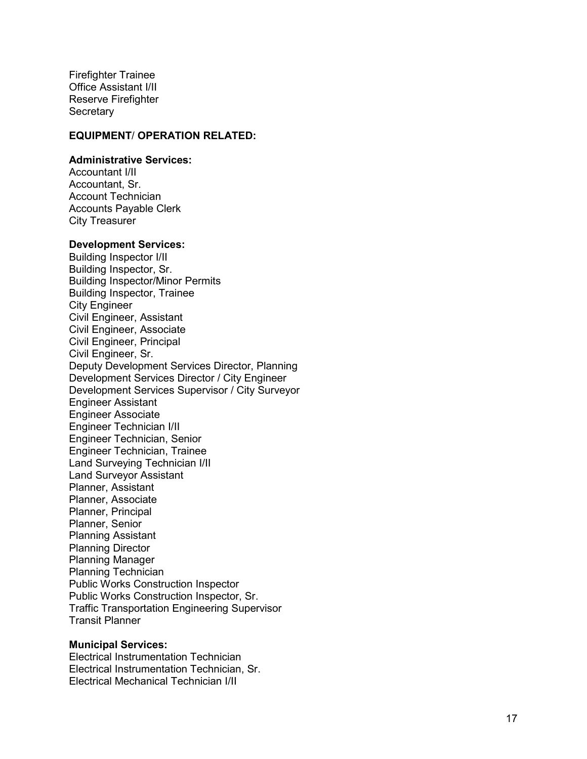Firefighter Trainee Office Assistant I/II Reserve Firefighter **Secretary** 

### **EQUIPMENT** / **OPERATION RELATED:**

#### **Administrative Services:**

Accountant I/II Accountant, Sr. Account Technician Accounts Payable Clerk City Treasurer

### **Development Services:**

Building Inspector I/II Building Inspector, Sr. Building Inspector/Minor Permits Building Inspector, Trainee City Engineer Civil Engineer, Assistant Civil Engineer, Associate Civil Engineer, Principal Civil Engineer, Sr. Deputy Development Services Director, Planning Development Services Director / City Engineer Development Services Supervisor / City Surveyor Engineer Assistant Engineer Associate Engineer Technician I/II Engineer Technician, Senior Engineer Technician, Trainee Land Surveying Technician I/II Land Surveyor Assistant Planner, Assistant Planner, Associate Planner, Principal Planner, Senior Planning Assistant Planning Director Planning Manager Planning Technician Public Works Construction Inspector Public Works Construction Inspector, Sr. Traffic Transportation Engineering Supervisor Transit Planner

### **Municipal Services:**

Electrical Instrumentation Technician Electrical Instrumentation Technician, Sr. Electrical Mechanical Technician I/II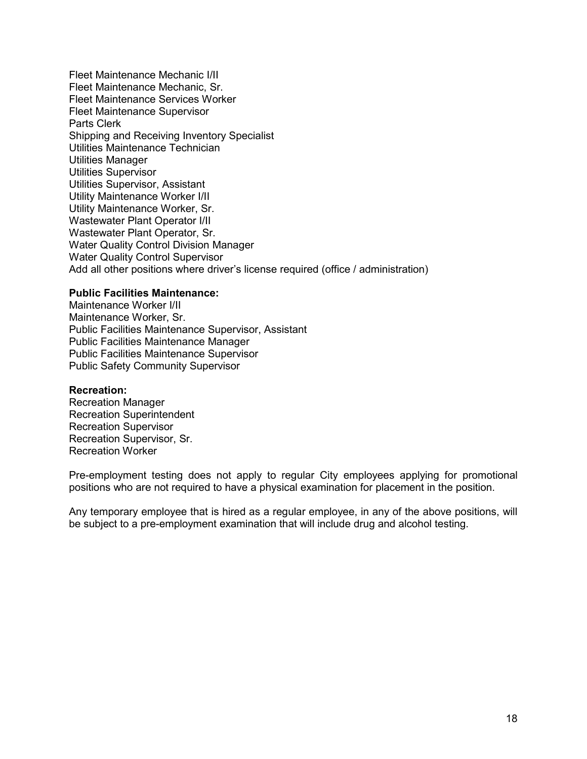Fleet Maintenance Mechanic I/II Fleet Maintenance Mechanic, Sr. Fleet Maintenance Services Worker Fleet Maintenance Supervisor Parts Clerk Shipping and Receiving Inventory Specialist Utilities Maintenance Technician Utilities Manager Utilities Supervisor Utilities Supervisor, Assistant Utility Maintenance Worker I/II Utility Maintenance Worker, Sr. Wastewater Plant Operator I/II Wastewater Plant Operator, Sr. Water Quality Control Division Manager Water Quality Control Supervisor Add all other positions where driver's license required (office / administration)

### **Public Facilities Maintenance:**

Maintenance Worker I/II Maintenance Worker, Sr. Public Facilities Maintenance Supervisor, Assistant Public Facilities Maintenance Manager Public Facilities Maintenance Supervisor Public Safety Community Supervisor

### **Recreation:**

Recreation Manager Recreation Superintendent Recreation Supervisor Recreation Supervisor, Sr. Recreation Worker

Pre-employment testing does not apply to regular City employees applying for promotional positions who are not required to have a physical examination for placement in the position.

Any temporary employee that is hired as a regular employee, in any of the above positions, will be subject to a pre-employment examination that will include drug and alcohol testing.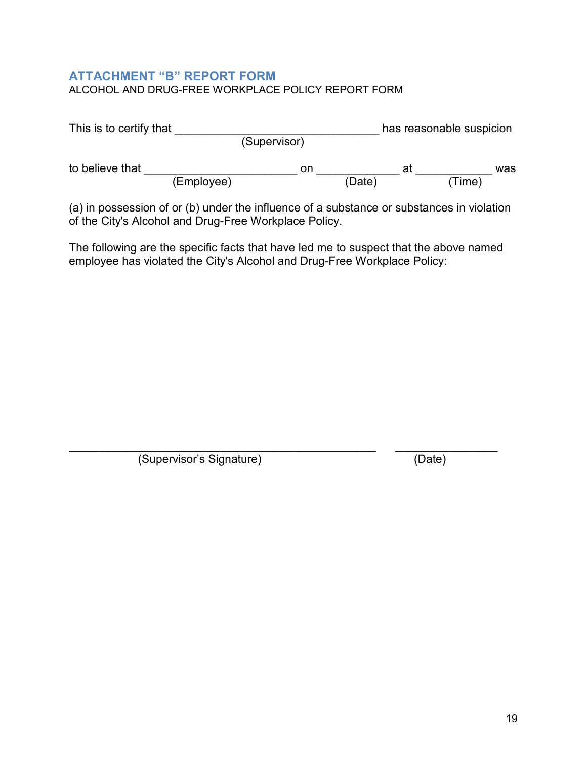## **ATTACHMENT "B" REPORT FORM** ALCOHOL AND DRUG-FREE WORKPLACE POLICY REPORT FORM

| This is to certify that |            | has reasonable suspicion |        |    |       |     |  |
|-------------------------|------------|--------------------------|--------|----|-------|-----|--|
|                         |            | (Supervisor)             |        |    |       |     |  |
| to believe that         |            | on                       |        | at |       | was |  |
|                         | (Employee) |                          | (Date) |    | Time) |     |  |

(a) in possession of or (b) under the influence of a substance or substances in violation of the City's Alcohol and Drug-Free Workplace Policy.

The following are the specific facts that have led me to suspect that the above named employee has violated the City's Alcohol and Drug-Free Workplace Policy:

\_\_\_\_\_\_\_\_\_\_\_\_\_\_\_\_\_\_\_\_\_\_\_\_\_\_\_\_\_\_\_\_\_\_\_\_\_\_\_\_\_\_\_\_\_\_\_\_ \_\_\_\_\_\_\_\_\_\_\_\_\_\_\_\_ (Supervisor's Signature) (Date)